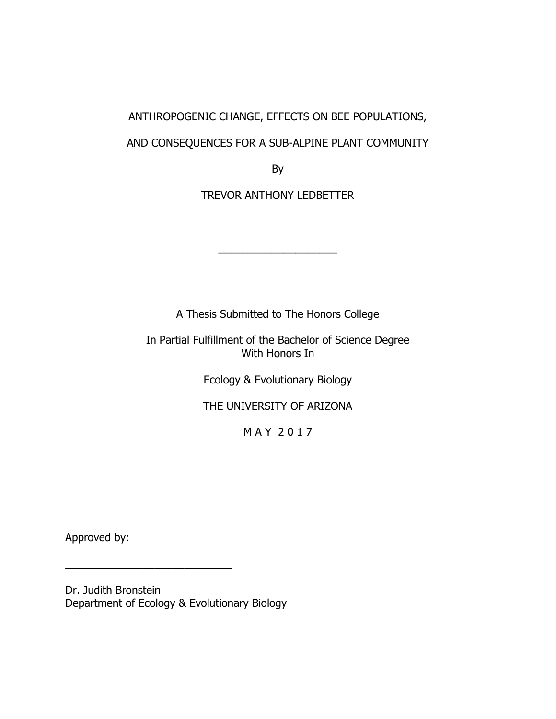# ANTHROPOGENIC CHANGE, EFFECTS ON BEE POPULATIONS,

## AND CONSEQUENCES FOR A SUB-ALPINE PLANT COMMUNITY

By

TREVOR ANTHONY LEDBETTER

 $\overline{\phantom{a}}$  , where  $\overline{\phantom{a}}$  , where  $\overline{\phantom{a}}$  , where  $\overline{\phantom{a}}$  , where  $\overline{\phantom{a}}$ 

A Thesis Submitted to The Honors College

In Partial Fulfillment of the Bachelor of Science Degree With Honors In

Ecology & Evolutionary Biology

THE UNIVERSITY OF ARIZONA

M A Y 2 0 1 7

Approved by:

Dr. Judith Bronstein Department of Ecology & Evolutionary Biology

\_\_\_\_\_\_\_\_\_\_\_\_\_\_\_\_\_\_\_\_\_\_\_\_\_\_\_\_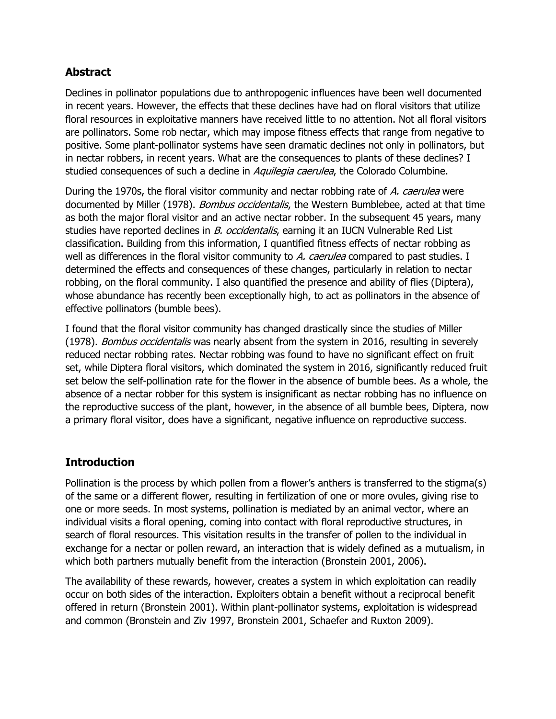## **Abstract**

Declines in pollinator populations due to anthropogenic influences have been well documented in recent years. However, the effects that these declines have had on floral visitors that utilize floral resources in exploitative manners have received little to no attention. Not all floral visitors are pollinators. Some rob nectar, which may impose fitness effects that range from negative to positive. Some plant-pollinator systems have seen dramatic declines not only in pollinators, but in nectar robbers, in recent years. What are the consequences to plants of these declines? I studied consequences of such a decline in *Aquilegia caerulea*, the Colorado Columbine.

During the 1970s, the floral visitor community and nectar robbing rate of A. caerulea were documented by Miller (1978). *Bombus occidentalis*, the Western Bumblebee, acted at that time as both the major floral visitor and an active nectar robber. In the subsequent 45 years, many studies have reported declines in B. occidentalis, earning it an IUCN Vulnerable Red List classification. Building from this information, I quantified fitness effects of nectar robbing as well as differences in the floral visitor community to A. caerulea compared to past studies. I determined the effects and consequences of these changes, particularly in relation to nectar robbing, on the floral community. I also quantified the presence and ability of flies (Diptera), whose abundance has recently been exceptionally high, to act as pollinators in the absence of effective pollinators (bumble bees).

I found that the floral visitor community has changed drastically since the studies of Miller (1978). Bombus occidentalis was nearly absent from the system in 2016, resulting in severely reduced nectar robbing rates. Nectar robbing was found to have no significant effect on fruit set, while Diptera floral visitors, which dominated the system in 2016, significantly reduced fruit set below the self-pollination rate for the flower in the absence of bumble bees. As a whole, the absence of a nectar robber for this system is insignificant as nectar robbing has no influence on the reproductive success of the plant, however, in the absence of all bumble bees, Diptera, now a primary floral visitor, does have a significant, negative influence on reproductive success.

## **Introduction**

Pollination is the process by which pollen from a flower's anthers is transferred to the stigma(s) of the same or a different flower, resulting in fertilization of one or more ovules, giving rise to one or more seeds. In most systems, pollination is mediated by an animal vector, where an individual visits a floral opening, coming into contact with floral reproductive structures, in search of floral resources. This visitation results in the transfer of pollen to the individual in exchange for a nectar or pollen reward, an interaction that is widely defined as a mutualism, in which both partners mutually benefit from the interaction (Bronstein 2001, 2006).

The availability of these rewards, however, creates a system in which exploitation can readily occur on both sides of the interaction. Exploiters obtain a benefit without a reciprocal benefit offered in return (Bronstein 2001). Within plant-pollinator systems, exploitation is widespread and common (Bronstein and Ziv 1997, Bronstein 2001, Schaefer and Ruxton 2009).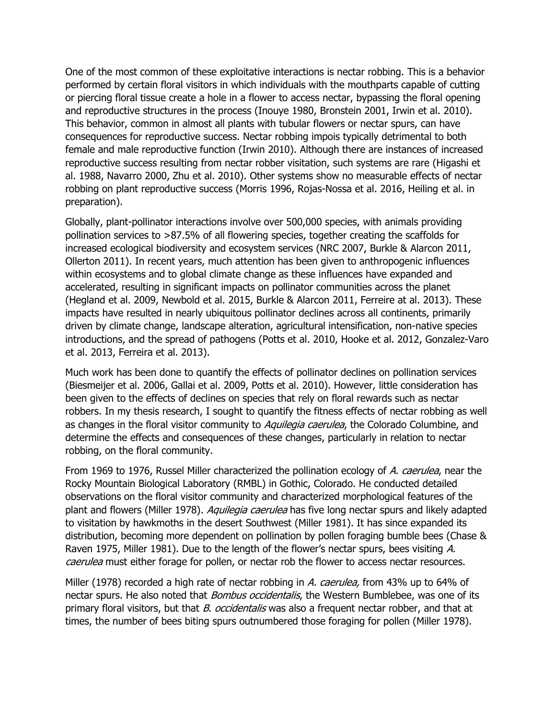One of the most common of these exploitative interactions is nectar robbing. This is a behavior performed by certain floral visitors in which individuals with the mouthparts capable of cutting or piercing floral tissue create a hole in a flower to access nectar, bypassing the floral opening and reproductive structures in the process (Inouye 1980, Bronstein 2001, Irwin et al. 2010). This behavior, common in almost all plants with tubular flowers or nectar spurs, can have consequences for reproductive success. Nectar robbing impois typically detrimental to both female and male reproductive function (Irwin 2010). Although there are instances of increased reproductive success resulting from nectar robber visitation, such systems are rare (Higashi et al. 1988, Navarro 2000, Zhu et al. 2010). Other systems show no measurable effects of nectar robbing on plant reproductive success (Morris 1996, Rojas-Nossa et al. 2016, Heiling et al. in preparation).

Globally, plant-pollinator interactions involve over 500,000 species, with animals providing pollination services to >87.5% of all flowering species, together creating the scaffolds for increased ecological biodiversity and ecosystem services (NRC 2007, Burkle & Alarcon 2011, Ollerton 2011). In recent years, much attention has been given to anthropogenic influences within ecosystems and to global climate change as these influences have expanded and accelerated, resulting in significant impacts on pollinator communities across the planet (Hegland et al. 2009, Newbold et al. 2015, Burkle & Alarcon 2011, Ferreire at al. 2013). These impacts have resulted in nearly ubiquitous pollinator declines across all continents, primarily driven by climate change, landscape alteration, agricultural intensification, non-native species introductions, and the spread of pathogens (Potts et al. 2010, Hooke et al. 2012, Gonzalez-Varo et al. 2013, Ferreira et al. 2013).

Much work has been done to quantify the effects of pollinator declines on pollination services (Biesmeijer et al. 2006, Gallai et al. 2009, Potts et al. 2010). However, little consideration has been given to the effects of declines on species that rely on floral rewards such as nectar robbers. In my thesis research, I sought to quantify the fitness effects of nectar robbing as well as changes in the floral visitor community to *Aquilegia caerulea*, the Colorado Columbine, and determine the effects and consequences of these changes, particularly in relation to nectar robbing, on the floral community.

From 1969 to 1976, Russel Miller characterized the pollination ecology of A. caerulea, near the Rocky Mountain Biological Laboratory (RMBL) in Gothic, Colorado. He conducted detailed observations on the floral visitor community and characterized morphological features of the plant and flowers (Miller 1978). Aquilegia caerulea has five long nectar spurs and likely adapted to visitation by hawkmoths in the desert Southwest (Miller 1981). It has since expanded its distribution, becoming more dependent on pollination by pollen foraging bumble bees (Chase & Raven 1975, Miller 1981). Due to the length of the flower's nectar spurs, bees visiting A. caerulea must either forage for pollen, or nectar rob the flower to access nectar resources.

Miller (1978) recorded a high rate of nectar robbing in A. caerulea, from 43% up to 64% of nectar spurs. He also noted that *Bombus occidentalis*, the Western Bumblebee, was one of its primary floral visitors, but that B. occidentalis was also a frequent nectar robber, and that at times, the number of bees biting spurs outnumbered those foraging for pollen (Miller 1978).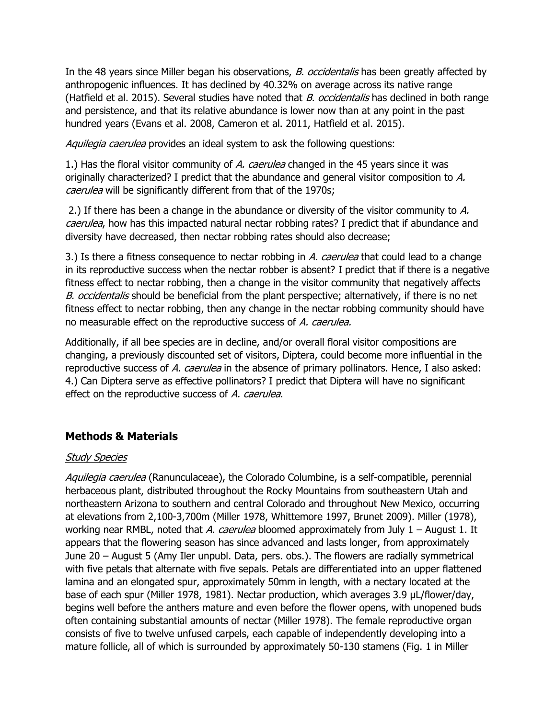In the 48 years since Miller began his observations, *B. occidentalis* has been greatly affected by anthropogenic influences. It has declined by 40.32% on average across its native range (Hatfield et al. 2015). Several studies have noted that *B. occidentalis* has declined in both range and persistence, and that its relative abundance is lower now than at any point in the past hundred years (Evans et al. 2008, Cameron et al. 2011, Hatfield et al. 2015).

Aquilegia caerulea provides an ideal system to ask the following questions:

1.) Has the floral visitor community of A. caerulea changed in the 45 years since it was originally characterized? I predict that the abundance and general visitor composition to A. caerulea will be significantly different from that of the 1970s;

2.) If there has been a change in the abundance or diversity of the visitor community to A. caerulea, how has this impacted natural nectar robbing rates? I predict that if abundance and diversity have decreased, then nectar robbing rates should also decrease;

3.) Is there a fitness consequence to nectar robbing in A. caerulea that could lead to a change in its reproductive success when the nectar robber is absent? I predict that if there is a negative fitness effect to nectar robbing, then a change in the visitor community that negatively affects B. occidentalis should be beneficial from the plant perspective; alternatively, if there is no net fitness effect to nectar robbing, then any change in the nectar robbing community should have no measurable effect on the reproductive success of A. caerulea.

Additionally, if all bee species are in decline, and/or overall floral visitor compositions are changing, a previously discounted set of visitors, Diptera, could become more influential in the reproductive success of A. caerulea in the absence of primary pollinators. Hence, I also asked: 4.) Can Diptera serve as effective pollinators? I predict that Diptera will have no significant effect on the reproductive success of A. caerulea.

## **Methods & Materials**

### Study Species

Aquilegia caerulea (Ranunculaceae), the Colorado Columbine, is a self-compatible, perennial herbaceous plant, distributed throughout the Rocky Mountains from southeastern Utah and northeastern Arizona to southern and central Colorado and throughout New Mexico, occurring at elevations from 2,100-3,700m (Miller 1978, Whittemore 1997, Brunet 2009). Miller (1978), working near RMBL, noted that A. caerulea bloomed approximately from July  $1 -$  August 1. It appears that the flowering season has since advanced and lasts longer, from approximately June 20 – August 5 (Amy Iler unpubl. Data, pers. obs.). The flowers are radially symmetrical with five petals that alternate with five sepals. Petals are differentiated into an upper flattened lamina and an elongated spur, approximately 50mm in length, with a nectary located at the base of each spur (Miller 1978, 1981). Nectar production, which averages 3.9 µL/flower/day, begins well before the anthers mature and even before the flower opens, with unopened buds often containing substantial amounts of nectar (Miller 1978). The female reproductive organ consists of five to twelve unfused carpels, each capable of independently developing into a mature follicle, all of which is surrounded by approximately 50-130 stamens (Fig. 1 in Miller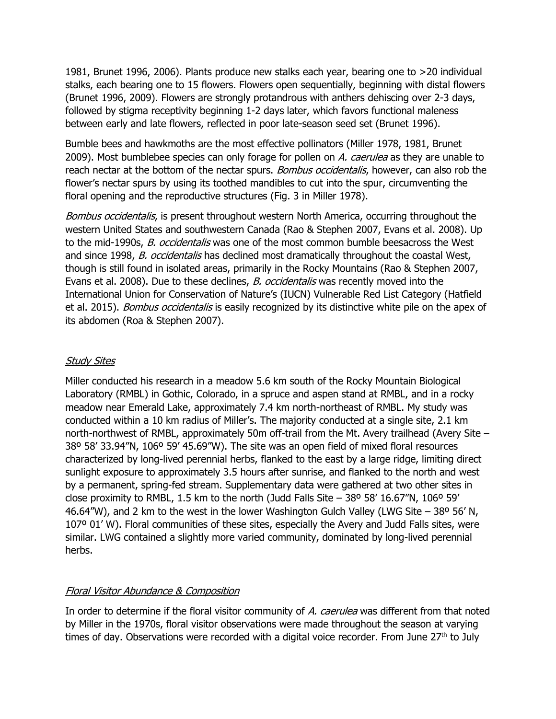1981, Brunet 1996, 2006). Plants produce new stalks each year, bearing one to >20 individual stalks, each bearing one to 15 flowers. Flowers open sequentially, beginning with distal flowers (Brunet 1996, 2009). Flowers are strongly protandrous with anthers dehiscing over 2-3 days, followed by stigma receptivity beginning 1-2 days later, which favors functional maleness between early and late flowers, reflected in poor late-season seed set (Brunet 1996).

Bumble bees and hawkmoths are the most effective pollinators (Miller 1978, 1981, Brunet 2009). Most bumblebee species can only forage for pollen on A. caerulea as they are unable to reach nectar at the bottom of the nectar spurs. *Bombus occidentalis*, however, can also rob the flower's nectar spurs by using its toothed mandibles to cut into the spur, circumventing the floral opening and the reproductive structures (Fig. 3 in Miller 1978).

Bombus occidentalis, is present throughout western North America, occurring throughout the western United States and southwestern Canada (Rao & Stephen 2007, Evans et al. 2008). Up to the mid-1990s, B. occidentalis was one of the most common bumble beesacross the West and since 1998, B. occidentalis has declined most dramatically throughout the coastal West, though is still found in isolated areas, primarily in the Rocky Mountains (Rao & Stephen 2007, Evans et al. 2008). Due to these declines, *B. occidentalis* was recently moved into the International Union for Conservation of Nature's (IUCN) Vulnerable Red List Category (Hatfield et al. 2015). *Bombus occidentalis* is easily recognized by its distinctive white pile on the apex of its abdomen (Roa & Stephen 2007).

#### **Study Sites**

Miller conducted his research in a meadow 5.6 km south of the Rocky Mountain Biological Laboratory (RMBL) in Gothic, Colorado, in a spruce and aspen stand at RMBL, and in a rocky meadow near Emerald Lake, approximately 7.4 km north-northeast of RMBL. My study was conducted within a 10 km radius of Miller's. The majority conducted at a single site, 2.1 km north-northwest of RMBL, approximately 50m off-trail from the Mt. Avery trailhead (Avery Site – 38º 58' 33.94"N, 106º 59' 45.69"W). The site was an open field of mixed floral resources characterized by long-lived perennial herbs, flanked to the east by a large ridge, limiting direct sunlight exposure to approximately 3.5 hours after sunrise, and flanked to the north and west by a permanent, spring-fed stream. Supplementary data were gathered at two other sites in close proximity to RMBL, 1.5 km to the north (Judd Falls Site  $-$  38° 58' 16.67"N, 106° 59' 46.64"W), and 2 km to the west in the lower Washington Gulch Valley (LWG Site  $-$  38° 56' N, 107º 01' W). Floral communities of these sites, especially the Avery and Judd Falls sites, were similar. LWG contained a slightly more varied community, dominated by long-lived perennial herbs.

#### Floral Visitor Abundance & Composition

In order to determine if the floral visitor community of A. caerulea was different from that noted by Miller in the 1970s, floral visitor observations were made throughout the season at varying times of day. Observations were recorded with a digital voice recorder. From June  $27<sup>th</sup>$  to July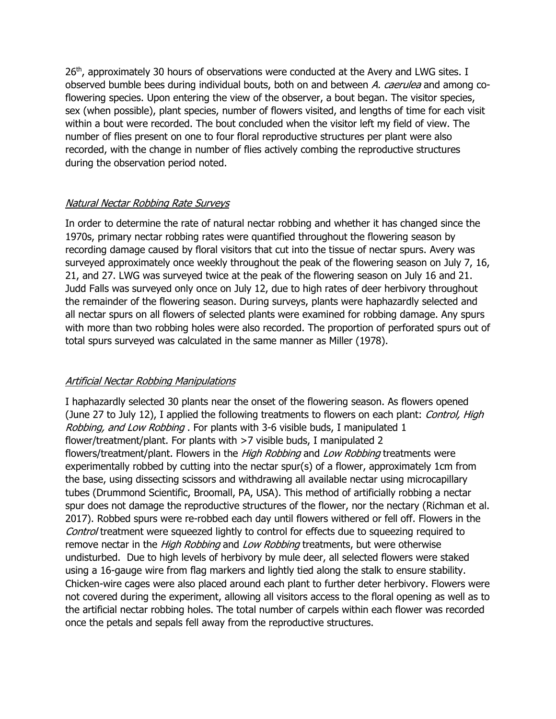26<sup>th</sup>, approximately 30 hours of observations were conducted at the Avery and LWG sites. I observed bumble bees during individual bouts, both on and between A. caerulea and among coflowering species. Upon entering the view of the observer, a bout began. The visitor species, sex (when possible), plant species, number of flowers visited, and lengths of time for each visit within a bout were recorded. The bout concluded when the visitor left my field of view. The number of flies present on one to four floral reproductive structures per plant were also recorded, with the change in number of flies actively combing the reproductive structures during the observation period noted.

### Natural Nectar Robbing Rate Surveys

In order to determine the rate of natural nectar robbing and whether it has changed since the 1970s, primary nectar robbing rates were quantified throughout the flowering season by recording damage caused by floral visitors that cut into the tissue of nectar spurs. Avery was surveyed approximately once weekly throughout the peak of the flowering season on July 7, 16, 21, and 27. LWG was surveyed twice at the peak of the flowering season on July 16 and 21. Judd Falls was surveyed only once on July 12, due to high rates of deer herbivory throughout the remainder of the flowering season. During surveys, plants were haphazardly selected and all nectar spurs on all flowers of selected plants were examined for robbing damage. Any spurs with more than two robbing holes were also recorded. The proportion of perforated spurs out of total spurs surveyed was calculated in the same manner as Miller (1978).

### Artificial Nectar Robbing Manipulations

I haphazardly selected 30 plants near the onset of the flowering season. As flowers opened (June 27 to July 12), I applied the following treatments to flowers on each plant: *Control, High* Robbing, and Low Robbing . For plants with 3-6 visible buds, I manipulated 1 flower/treatment/plant. For plants with >7 visible buds, I manipulated 2 flowers/treatment/plant. Flowers in the *High Robbing* and *Low Robbing* treatments were experimentally robbed by cutting into the nectar spur(s) of a flower, approximately 1cm from the base, using dissecting scissors and withdrawing all available nectar using microcapillary tubes (Drummond Scientific, Broomall, PA, USA). This method of artificially robbing a nectar spur does not damage the reproductive structures of the flower, nor the nectary (Richman et al. 2017). Robbed spurs were re-robbed each day until flowers withered or fell off. Flowers in the Control treatment were squeezed lightly to control for effects due to squeezing required to remove nectar in the *High Robbing* and *Low Robbing* treatments, but were otherwise undisturbed. Due to high levels of herbivory by mule deer, all selected flowers were staked using a 16-gauge wire from flag markers and lightly tied along the stalk to ensure stability. Chicken-wire cages were also placed around each plant to further deter herbivory. Flowers were not covered during the experiment, allowing all visitors access to the floral opening as well as to the artificial nectar robbing holes. The total number of carpels within each flower was recorded once the petals and sepals fell away from the reproductive structures.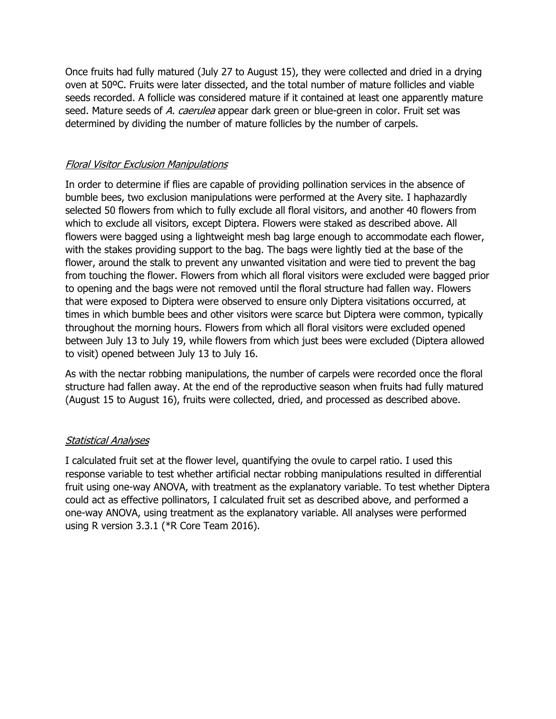Once fruits had fully matured (July 27 to August 15), they were collected and dried in a drying oven at 50ºC. Fruits were later dissected, and the total number of mature follicles and viable seeds recorded. A follicle was considered mature if it contained at least one apparently mature seed. Mature seeds of A. caerulea appear dark green or blue-green in color. Fruit set was determined by dividing the number of mature follicles by the number of carpels.

### Floral Visitor Exclusion Manipulations

In order to determine if flies are capable of providing pollination services in the absence of bumble bees, two exclusion manipulations were performed at the Avery site. I haphazardly selected 50 flowers from which to fully exclude all floral visitors, and another 40 flowers from which to exclude all visitors, except Diptera. Flowers were staked as described above. All flowers were bagged using a lightweight mesh bag large enough to accommodate each flower, with the stakes providing support to the bag. The bags were lightly tied at the base of the flower, around the stalk to prevent any unwanted visitation and were tied to prevent the bag from touching the flower. Flowers from which all floral visitors were excluded were bagged prior to opening and the bags were not removed until the floral structure had fallen way. Flowers that were exposed to Diptera were observed to ensure only Diptera visitations occurred, at times in which bumble bees and other visitors were scarce but Diptera were common, typically throughout the morning hours. Flowers from which all floral visitors were excluded opened between July 13 to July 19, while flowers from which just bees were excluded (Diptera allowed to visit) opened between July 13 to July 16.

As with the nectar robbing manipulations, the number of carpels were recorded once the floral structure had fallen away. At the end of the reproductive season when fruits had fully matured (August 15 to August 16), fruits were collected, dried, and processed as described above.

### Statistical Analyses

I calculated fruit set at the flower level, quantifying the ovule to carpel ratio. I used this response variable to test whether artificial nectar robbing manipulations resulted in differential fruit using one-way ANOVA, with treatment as the explanatory variable. To test whether Diptera could act as effective pollinators, I calculated fruit set as described above, and performed a one-way ANOVA, using treatment as the explanatory variable. All analyses were performed using R version 3.3.1 (\*R Core Team 2016).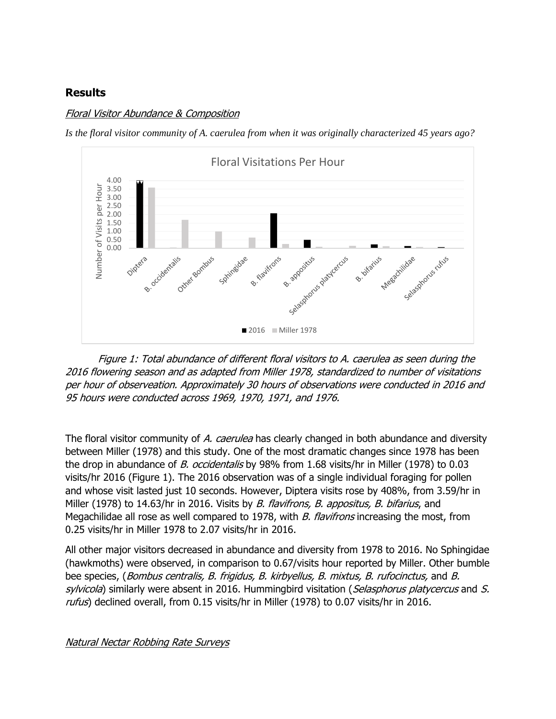### **Results**

#### Floral Visitor Abundance & Composition

*Is the floral visitor community of A. caerulea from when it was originally characterized 45 years ago?*



Figure 1: Total abundance of different floral visitors to A. caerulea as seen during the 2016 flowering season and as adapted from Miller 1978, standardized to number of visitations per hour of observeation. Approximately 30 hours of observations were conducted in 2016 and 95 hours were conducted across 1969, 1970, 1971, and 1976.

The floral visitor community of A. caerulea has clearly changed in both abundance and diversity between Miller (1978) and this study. One of the most dramatic changes since 1978 has been the drop in abundance of B. occidentalis by 98% from 1.68 visits/hr in Miller (1978) to 0.03 visits/hr 2016 (Figure 1). The 2016 observation was of a single individual foraging for pollen and whose visit lasted just 10 seconds. However, Diptera visits rose by 408%, from 3.59/hr in Miller (1978) to 14.63/hr in 2016. Visits by *B. flavifrons, B. appositus, B. bifarius*, and Megachilidae all rose as well compared to 1978, with B. flavifrons increasing the most, from 0.25 visits/hr in Miller 1978 to 2.07 visits/hr in 2016.

All other major visitors decreased in abundance and diversity from 1978 to 2016. No Sphingidae (hawkmoths) were observed, in comparison to 0.67/visits hour reported by Miller. Other bumble bee species, (*Bombus centralis, B. frigidus, B. kirbyellus, B. mixtus, B. rufocinctus,* and B. sylvicola) similarly were absent in 2016. Hummingbird visitation (Selasphorus platycercus and S. rufus) declined overall, from 0.15 visits/hr in Miller (1978) to 0.07 visits/hr in 2016.

Natural Nectar Robbing Rate Surveys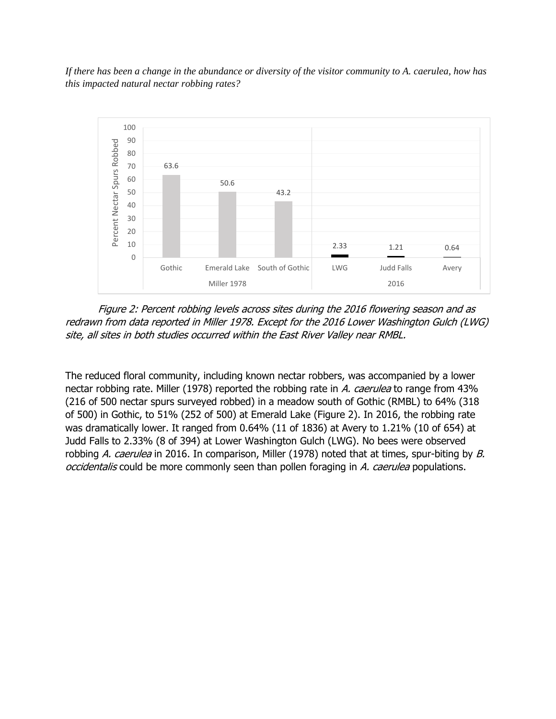*If there has been a change in the abundance or diversity of the visitor community to A. caerulea, how has this impacted natural nectar robbing rates?*



Figure 2: Percent robbing levels across sites during the 2016 flowering season and as redrawn from data reported in Miller 1978. Except for the 2016 Lower Washington Gulch (LWG) site, all sites in both studies occurred within the East River Valley near RMBL.

The reduced floral community, including known nectar robbers, was accompanied by a lower nectar robbing rate. Miller (1978) reported the robbing rate in A. caerulea to range from 43% (216 of 500 nectar spurs surveyed robbed) in a meadow south of Gothic (RMBL) to 64% (318 of 500) in Gothic, to 51% (252 of 500) at Emerald Lake (Figure 2). In 2016, the robbing rate was dramatically lower. It ranged from 0.64% (11 of 1836) at Avery to 1.21% (10 of 654) at Judd Falls to 2.33% (8 of 394) at Lower Washington Gulch (LWG). No bees were observed robbing A. caerulea in 2016. In comparison, Miller (1978) noted that at times, spur-biting by B. occidentalis could be more commonly seen than pollen foraging in A. caerulea populations.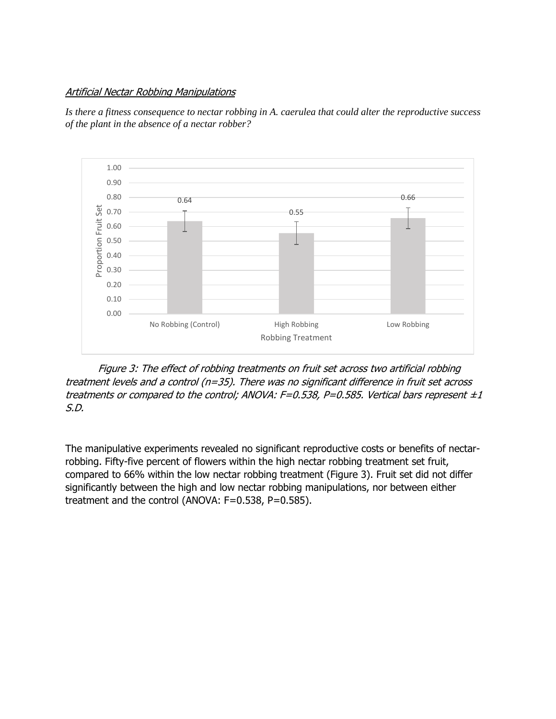#### Artificial Nectar Robbing Manipulations

Is there a fitness consequence to nectar robbing in A. caerulea that could alter the reproductive success *of the plant in the absence of a nectar robber?*



Figure 3: The effect of robbing treatments on fruit set across two artificial robbing treatment levels and a control (n=35). There was no significant difference in fruit set across treatments or compared to the control; ANOVA: F=0.538, P=0.585. Vertical bars represent  $\pm 1$ S.D.

The manipulative experiments revealed no significant reproductive costs or benefits of nectarrobbing. Fifty-five percent of flowers within the high nectar robbing treatment set fruit, compared to 66% within the low nectar robbing treatment (Figure 3). Fruit set did not differ significantly between the high and low nectar robbing manipulations, nor between either treatment and the control (ANOVA: F=0.538, P=0.585).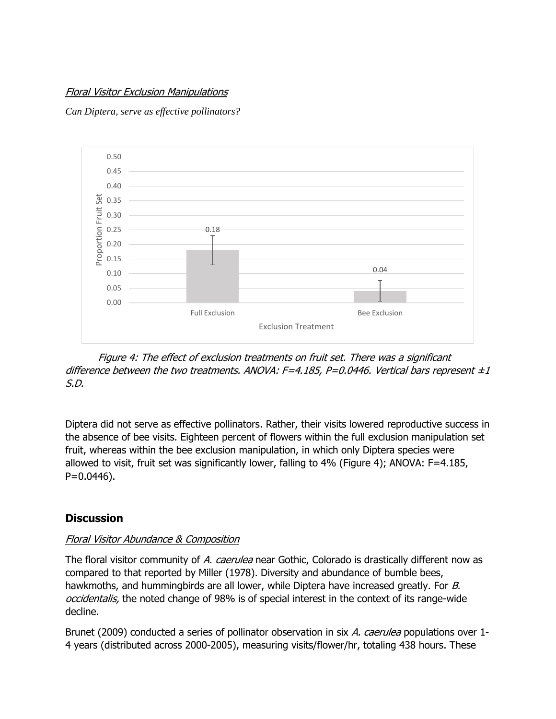### Floral Visitor Exclusion Manipulations

*Can Diptera, serve as effective pollinators?*



Figure 4: The effect of exclusion treatments on fruit set. There was a significant difference between the two treatments. ANOVA: F=4.185, P=0.0446. Vertical bars represent  $\pm 1$ S.D.

Diptera did not serve as effective pollinators. Rather, their visits lowered reproductive success in the absence of bee visits. Eighteen percent of flowers within the full exclusion manipulation set fruit, whereas within the bee exclusion manipulation, in which only Diptera species were allowed to visit, fruit set was significantly lower, falling to 4% (Figure 4); ANOVA: F=4.185, P=0.0446).

## **Discussion**

### Floral Visitor Abundance & Composition

The floral visitor community of A. caerulea near Gothic, Colorado is drastically different now as compared to that reported by Miller (1978). Diversity and abundance of bumble bees, hawkmoths, and hummingbirds are all lower, while Diptera have increased greatly. For B. occidentalis, the noted change of 98% is of special interest in the context of its range-wide decline.

Brunet (2009) conducted a series of pollinator observation in six A. caerulea populations over 1-4 years (distributed across 2000-2005), measuring visits/flower/hr, totaling 438 hours. These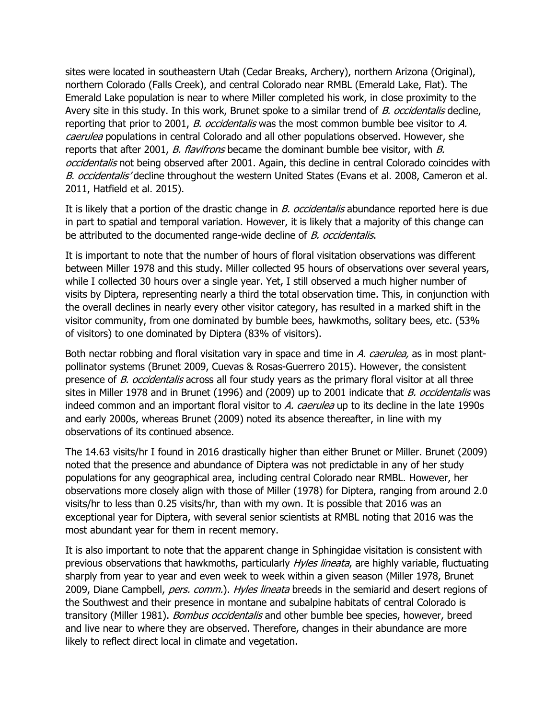sites were located in southeastern Utah (Cedar Breaks, Archery), northern Arizona (Original), northern Colorado (Falls Creek), and central Colorado near RMBL (Emerald Lake, Flat). The Emerald Lake population is near to where Miller completed his work, in close proximity to the Avery site in this study. In this work, Brunet spoke to a similar trend of B. occidentalis decline, reporting that prior to 2001, B. occidentalis was the most common bumble bee visitor to A. caerulea populations in central Colorado and all other populations observed. However, she reports that after 2001, B. flavifrons became the dominant bumble bee visitor, with B. occidentalis not being observed after 2001. Again, this decline in central Colorado coincides with B. occidentalis' decline throughout the western United States (Evans et al. 2008, Cameron et al. 2011, Hatfield et al. 2015).

It is likely that a portion of the drastic change in  $B$ . occidentalis abundance reported here is due in part to spatial and temporal variation. However, it is likely that a majority of this change can be attributed to the documented range-wide decline of *B. occidentalis*.

It is important to note that the number of hours of floral visitation observations was different between Miller 1978 and this study. Miller collected 95 hours of observations over several years, while I collected 30 hours over a single year. Yet, I still observed a much higher number of visits by Diptera, representing nearly a third the total observation time. This, in conjunction with the overall declines in nearly every other visitor category, has resulted in a marked shift in the visitor community, from one dominated by bumble bees, hawkmoths, solitary bees, etc. (53% of visitors) to one dominated by Diptera (83% of visitors).

Both nectar robbing and floral visitation vary in space and time in A. caerulea, as in most plantpollinator systems (Brunet 2009, Cuevas & Rosas-Guerrero 2015). However, the consistent presence of B. occidentalis across all four study years as the primary floral visitor at all three sites in Miller 1978 and in Brunet (1996) and (2009) up to 2001 indicate that B. occidentalis was indeed common and an important floral visitor to A. caerulea up to its decline in the late 1990s and early 2000s, whereas Brunet (2009) noted its absence thereafter, in line with my observations of its continued absence.

The 14.63 visits/hr I found in 2016 drastically higher than either Brunet or Miller. Brunet (2009) noted that the presence and abundance of Diptera was not predictable in any of her study populations for any geographical area, including central Colorado near RMBL. However, her observations more closely align with those of Miller (1978) for Diptera, ranging from around 2.0 visits/hr to less than 0.25 visits/hr, than with my own. It is possible that 2016 was an exceptional year for Diptera, with several senior scientists at RMBL noting that 2016 was the most abundant year for them in recent memory.

It is also important to note that the apparent change in Sphingidae visitation is consistent with previous observations that hawkmoths, particularly *Hyles lineata*, are highly variable, fluctuating sharply from year to year and even week to week within a given season (Miller 1978, Brunet 2009, Diane Campbell, *pers. comm.*). Hyles lineata breeds in the semiarid and desert regions of the Southwest and their presence in montane and subalpine habitats of central Colorado is transitory (Miller 1981). *Bombus occidentalis* and other bumble bee species, however, breed and live near to where they are observed. Therefore, changes in their abundance are more likely to reflect direct local in climate and vegetation.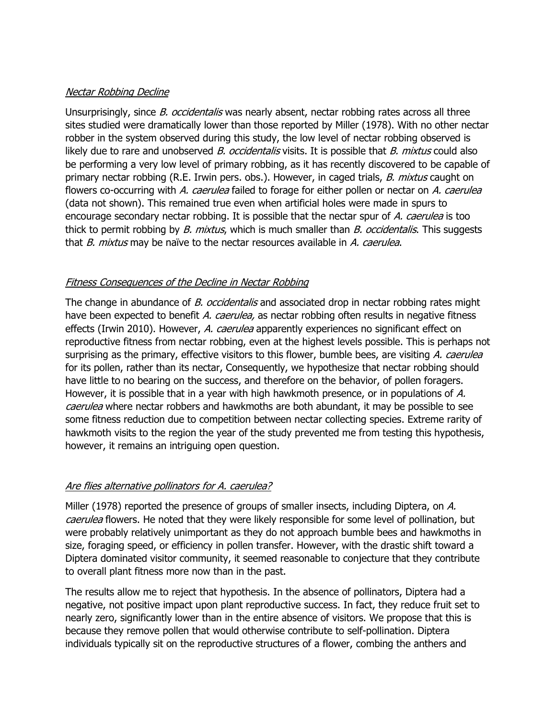#### Nectar Robbing Decline

Unsurprisingly, since *B. occidentalis* was nearly absent, nectar robbing rates across all three sites studied were dramatically lower than those reported by Miller (1978). With no other nectar robber in the system observed during this study, the low level of nectar robbing observed is likely due to rare and unobserved B. occidentalis visits. It is possible that B. mixtus could also be performing a very low level of primary robbing, as it has recently discovered to be capable of primary nectar robbing (R.E. Irwin pers. obs.). However, in caged trials, *B. mixtus* caught on flowers co-occurring with A. caerulea failed to forage for either pollen or nectar on A. caerulea (data not shown). This remained true even when artificial holes were made in spurs to encourage secondary nectar robbing. It is possible that the nectar spur of A. caerulea is too thick to permit robbing by B. mixtus, which is much smaller than B. occidentalis. This suggests that B. mixtus may be naïve to the nectar resources available in A. caerulea.

### Fitness Consequences of the Decline in Nectar Robbing

The change in abundance of B. occidentalis and associated drop in nectar robbing rates might have been expected to benefit A. caerulea, as nectar robbing often results in negative fitness effects (Irwin 2010). However, A. caerulea apparently experiences no significant effect on reproductive fitness from nectar robbing, even at the highest levels possible. This is perhaps not surprising as the primary, effective visitors to this flower, bumble bees, are visiting A. caerulea for its pollen, rather than its nectar, Consequently, we hypothesize that nectar robbing should have little to no bearing on the success, and therefore on the behavior, of pollen foragers. However, it is possible that in a year with high hawkmoth presence, or in populations of A. caerulea where nectar robbers and hawkmoths are both abundant, it may be possible to see some fitness reduction due to competition between nectar collecting species. Extreme rarity of hawkmoth visits to the region the year of the study prevented me from testing this hypothesis, however, it remains an intriguing open question.

### Are flies alternative pollinators for A. caerulea?

Miller (1978) reported the presence of groups of smaller insects, including Diptera, on A. caerulea flowers. He noted that they were likely responsible for some level of pollination, but were probably relatively unimportant as they do not approach bumble bees and hawkmoths in size, foraging speed, or efficiency in pollen transfer. However, with the drastic shift toward a Diptera dominated visitor community, it seemed reasonable to conjecture that they contribute to overall plant fitness more now than in the past.

The results allow me to reject that hypothesis. In the absence of pollinators, Diptera had a negative, not positive impact upon plant reproductive success. In fact, they reduce fruit set to nearly zero, significantly lower than in the entire absence of visitors. We propose that this is because they remove pollen that would otherwise contribute to self-pollination. Diptera individuals typically sit on the reproductive structures of a flower, combing the anthers and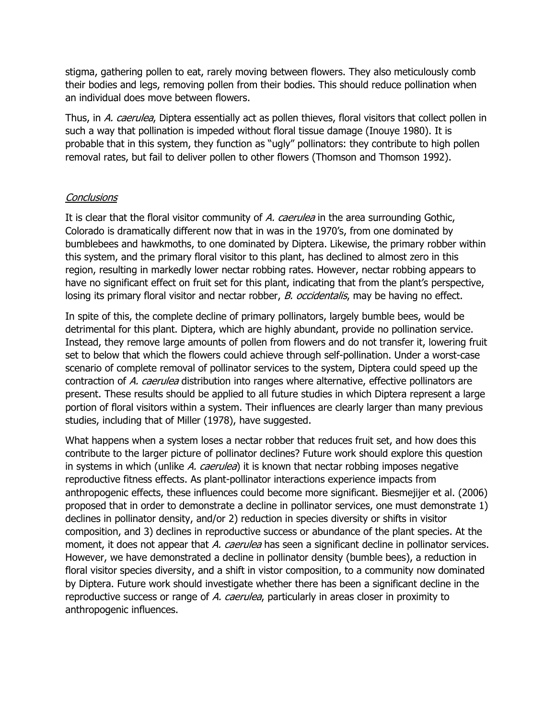stigma, gathering pollen to eat, rarely moving between flowers. They also meticulously comb their bodies and legs, removing pollen from their bodies. This should reduce pollination when an individual does move between flowers.

Thus, in A. caerulea, Diptera essentially act as pollen thieves, floral visitors that collect pollen in such a way that pollination is impeded without floral tissue damage (Inouye 1980). It is probable that in this system, they function as "ugly" pollinators: they contribute to high pollen removal rates, but fail to deliver pollen to other flowers (Thomson and Thomson 1992).

#### **Conclusions**

It is clear that the floral visitor community of A. caerulea in the area surrounding Gothic, Colorado is dramatically different now that in was in the 1970's, from one dominated by bumblebees and hawkmoths, to one dominated by Diptera. Likewise, the primary robber within this system, and the primary floral visitor to this plant, has declined to almost zero in this region, resulting in markedly lower nectar robbing rates. However, nectar robbing appears to have no significant effect on fruit set for this plant, indicating that from the plant's perspective, losing its primary floral visitor and nectar robber, *B. occidentalis*, may be having no effect.

In spite of this, the complete decline of primary pollinators, largely bumble bees, would be detrimental for this plant. Diptera, which are highly abundant, provide no pollination service. Instead, they remove large amounts of pollen from flowers and do not transfer it, lowering fruit set to below that which the flowers could achieve through self-pollination. Under a worst-case scenario of complete removal of pollinator services to the system, Diptera could speed up the contraction of A. caerulea distribution into ranges where alternative, effective pollinators are present. These results should be applied to all future studies in which Diptera represent a large portion of floral visitors within a system. Their influences are clearly larger than many previous studies, including that of Miller (1978), have suggested.

What happens when a system loses a nectar robber that reduces fruit set, and how does this contribute to the larger picture of pollinator declines? Future work should explore this question in systems in which (unlike A. caerulea) it is known that nectar robbing imposes negative reproductive fitness effects. As plant-pollinator interactions experience impacts from anthropogenic effects, these influences could become more significant. Biesmejijer et al. (2006) proposed that in order to demonstrate a decline in pollinator services, one must demonstrate 1) declines in pollinator density, and/or 2) reduction in species diversity or shifts in visitor composition, and 3) declines in reproductive success or abundance of the plant species. At the moment, it does not appear that A. caerulea has seen a significant decline in pollinator services. However, we have demonstrated a decline in pollinator density (bumble bees), a reduction in floral visitor species diversity, and a shift in vistor composition, to a community now dominated by Diptera. Future work should investigate whether there has been a significant decline in the reproductive success or range of A. caerulea, particularly in areas closer in proximity to anthropogenic influences.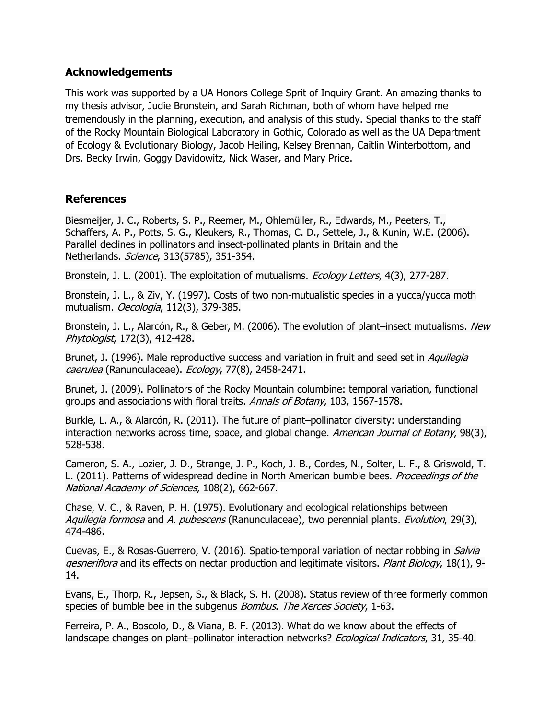### **Acknowledgements**

This work was supported by a UA Honors College Sprit of Inquiry Grant. An amazing thanks to my thesis advisor, Judie Bronstein, and Sarah Richman, both of whom have helped me tremendously in the planning, execution, and analysis of this study. Special thanks to the staff of the Rocky Mountain Biological Laboratory in Gothic, Colorado as well as the UA Department of Ecology & Evolutionary Biology, Jacob Heiling, Kelsey Brennan, Caitlin Winterbottom, and Drs. Becky Irwin, Goggy Davidowitz, Nick Waser, and Mary Price.

### **References**

Biesmeijer, J. C., Roberts, S. P., Reemer, M., Ohlemüller, R., Edwards, M., Peeters, T., Schaffers, A. P., Potts, S. G., Kleukers, R., Thomas, C. D., Settele, J., & Kunin, W.E. (2006). Parallel declines in pollinators and insect-pollinated plants in Britain and the Netherlands. Science, 313(5785), 351-354.

Bronstein, J. L. (2001). The exploitation of mutualisms. *Ecology Letters*, 4(3), 277-287.

Bronstein, J. L., & Ziv, Y. (1997). Costs of two non-mutualistic species in a yucca/yucca moth mutualism. Oecologia, 112(3), 379-385.

Bronstein, J. L., Alarcón, R., & Geber, M. (2006). The evolution of plant–insect mutualisms. New Phytologist, 172(3), 412-428.

Brunet, J. (1996). Male reproductive success and variation in fruit and seed set in *Aquilegia* caerulea (Ranunculaceae). Ecology, 77(8), 2458-2471.

Brunet, J. (2009). Pollinators of the Rocky Mountain columbine: temporal variation, functional groups and associations with floral traits. Annals of Botany, 103, 1567-1578.

Burkle, L. A., & Alarcón, R. (2011). The future of plant–pollinator diversity: understanding interaction networks across time, space, and global change. American Journal of Botany, 98(3), 528-538.

Cameron, S. A., Lozier, J. D., Strange, J. P., Koch, J. B., Cordes, N., Solter, L. F., & Griswold, T. L. (2011). Patterns of widespread decline in North American bumble bees. *Proceedings of the* National Academy of Sciences, 108(2), 662-667.

Chase, V. C., & Raven, P. H. (1975). Evolutionary and ecological relationships between Aquilegia formosa and A. pubescens (Ranunculaceae), two perennial plants. Evolution, 29(3), 474-486.

Cuevas, E., & Rosas-Guerrero, V. (2016). Spatio-temporal variation of nectar robbing in *Salvia* gesneriflora and its effects on nectar production and legitimate visitors. Plant Biology, 18(1), 9-14.

Evans, E., Thorp, R., Jepsen, S., & Black, S. H. (2008). Status review of three formerly common species of bumble bee in the subgenus *Bombus. The Xerces Society*, 1-63.

Ferreira, P. A., Boscolo, D., & Viana, B. F. (2013). What do we know about the effects of landscape changes on plant-pollinator interaction networks? Ecological Indicators, 31, 35-40.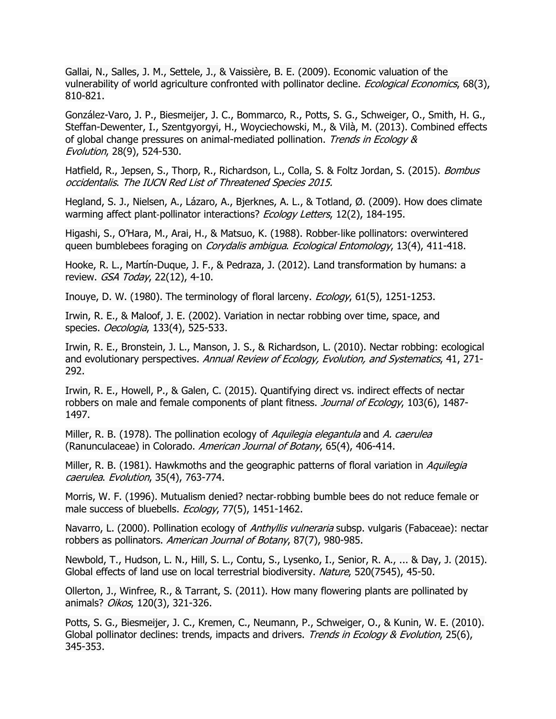Gallai, N., Salles, J. M., Settele, J., & Vaissière, B. E. (2009). Economic valuation of the vulnerability of world agriculture confronted with pollinator decline. *Ecological Economics*, 68(3), 810-821.

González-Varo, J. P., Biesmeijer, J. C., Bommarco, R., Potts, S. G., Schweiger, O., Smith, H. G., Steffan-Dewenter, I., Szentgyorgyi, H., Woyciechowski, M., & Vilà, M. (2013). Combined effects of global change pressures on animal-mediated pollination. Trends in Ecology & Evolution, 28(9), 524-530.

Hatfield, R., Jepsen, S., Thorp, R., Richardson, L., Colla, S. & Foltz Jordan, S. (2015). *Bombus* occidentalis. The IUCN Red List of Threatened Species 2015.

Hegland, S. J., Nielsen, A., Lázaro, A., Bjerknes, A. L., & Totland, Ø. (2009). How does climate warming affect plant-pollinator interactions? Ecology Letters, 12(2), 184-195.

Higashi, S., O'Hara, M., Arai, H., & Matsuo, K. (1988). Robber‐like pollinators: overwintered queen bumblebees foraging on *Corydalis ambigua. Ecological Entomology*, 13(4), 411-418.

Hooke, R. L., Martín-Duque, J. F., & Pedraza, J. (2012). Land transformation by humans: a review. GSA Today, 22(12), 4-10.

Inouye, D. W. (1980). The terminology of floral larceny. Ecology, 61(5), 1251-1253.

Irwin, R. E., & Maloof, J. E. (2002). Variation in nectar robbing over time, space, and species. Oecologia, 133(4), 525-533.

Irwin, R. E., Bronstein, J. L., Manson, J. S., & Richardson, L. (2010). Nectar robbing: ecological and evolutionary perspectives. Annual Review of Ecology, Evolution, and Systematics, 41, 271-292.

Irwin, R. E., Howell, P., & Galen, C. (2015). Quantifying direct vs. indirect effects of nectar robbers on male and female components of plant fitness. Journal of Ecology, 103(6), 1487-1497.

Miller, R. B. (1978). The pollination ecology of Aquilegia elegantula and A. caerulea (Ranunculaceae) in Colorado. American Journal of Botany, 65(4), 406-414.

Miller, R. B. (1981). Hawkmoths and the geographic patterns of floral variation in *Aquilegia* caerulea. Evolution, 35(4), 763-774.

Morris, W. F. (1996). Mutualism denied? nectar‐robbing bumble bees do not reduce female or male success of bluebells. Ecology, 77(5), 1451-1462.

Navarro, L. (2000). Pollination ecology of Anthyllis vulneraria subsp. vulgaris (Fabaceae): nectar robbers as pollinators. American Journal of Botany, 87(7), 980-985.

Newbold, T., Hudson, L. N., Hill, S. L., Contu, S., Lysenko, I., Senior, R. A., ... & Day, J. (2015). Global effects of land use on local terrestrial biodiversity. Nature, 520(7545), 45-50.

Ollerton, J., Winfree, R., & Tarrant, S. (2011). How many flowering plants are pollinated by animals? Oikos, 120(3), 321-326.

Potts, S. G., Biesmeijer, J. C., Kremen, C., Neumann, P., Schweiger, O., & Kunin, W. E. (2010). Global pollinator declines: trends, impacts and drivers. Trends in Ecology & Evolution, 25(6), 345-353.